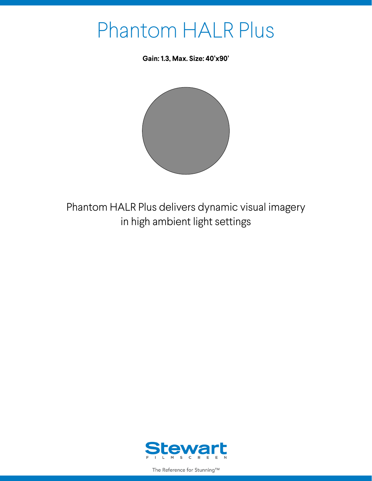## Phantom HALR Plus

**Gain: 1.3, Max. Size: 40'x90'**



Phantom HALR Plus delivers dynamic visual imagery in high ambient light settings



The Reference for Stunning™